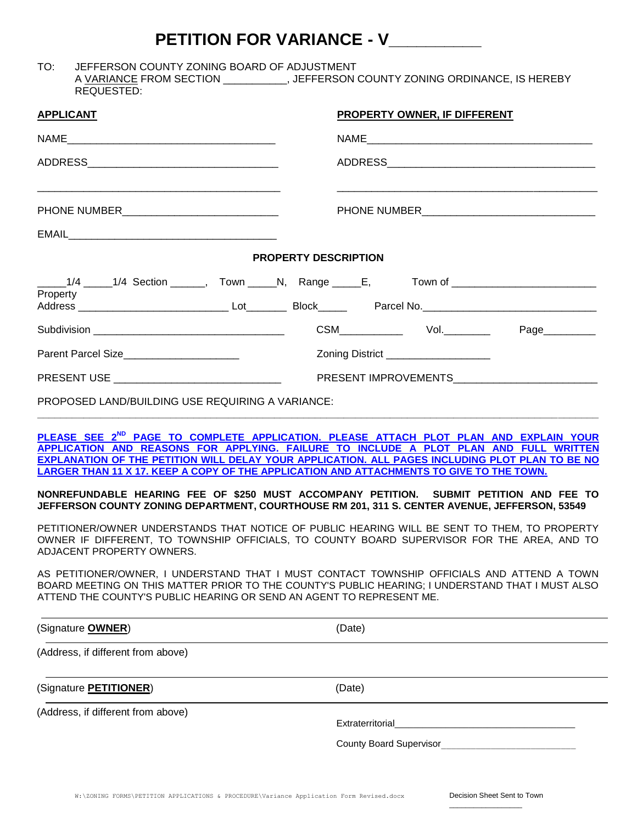## **PETITION FOR VARIANCE - V\_\_\_\_\_\_\_\_\_\_**

TO: JEFFERSON COUNTY ZONING BOARD OF ADJUSTMENT A VARIANCE FROM SECTION \_\_\_\_\_\_\_\_\_\_, JEFFERSON COUNTY ZONING ORDINANCE, IS HEREBY REQUESTED:

| <b>APPLICANT</b>                                                     | PROPERTY OWNER, IF DIFFERENT                                                                                                                                                                                                                                                                                                                                                              |
|----------------------------------------------------------------------|-------------------------------------------------------------------------------------------------------------------------------------------------------------------------------------------------------------------------------------------------------------------------------------------------------------------------------------------------------------------------------------------|
|                                                                      |                                                                                                                                                                                                                                                                                                                                                                                           |
|                                                                      |                                                                                                                                                                                                                                                                                                                                                                                           |
| PHONE NUMBER_________________________________                        |                                                                                                                                                                                                                                                                                                                                                                                           |
|                                                                      |                                                                                                                                                                                                                                                                                                                                                                                           |
|                                                                      | <b>PROPERTY DESCRIPTION</b>                                                                                                                                                                                                                                                                                                                                                               |
| Property                                                             | _____1/4 _____1/4 Section ______, Town _____N, Range _____E, Town of _________________________                                                                                                                                                                                                                                                                                            |
|                                                                      | Page__________                                                                                                                                                                                                                                                                                                                                                                            |
| Parent Parcel Size______________________                             | Zoning District ___________________                                                                                                                                                                                                                                                                                                                                                       |
|                                                                      | PRESENT USE PRESENT IMPROVEMENTS                                                                                                                                                                                                                                                                                                                                                          |
| PROPOSED LAND/BUILDING USE REQUIRING A VARIANCE:                     |                                                                                                                                                                                                                                                                                                                                                                                           |
|                                                                      | PLEASE SEE 2 <sup>ND</sup> PAGE TO COMPLETE APPLICATION. PLEASE ATTACH PLOT PLAN AND EXPLAIN YOUR<br>APPLICATION AND REASONS FOR APPLYING. FAILURE TO INCLUDE A PLOT PLAN AND FULL WRITTEN<br>EXPLANATION OF THE PETITION WILL DELAY YOUR APPLICATION. ALL PAGES INCLUDING PLOT PLAN TO BE NO<br>LARGER THAN 11 X 17. KEEP A COPY OF THE APPLICATION AND ATTACHMENTS TO GIVE TO THE TOWN. |
|                                                                      | NONREFUNDABLE HEARING FEE OF \$250 MUST ACCOMPANY PETITION. SUBMIT PETITION AND FEE TO<br>JEFFERSON COUNTY ZONING DEPARTMENT, COURTHOUSE RM 201, 311 S. CENTER AVENUE, JEFFERSON, 53549                                                                                                                                                                                                   |
| ADJACENT PROPERTY OWNERS.                                            | PETITIONER/OWNER UNDERSTANDS THAT NOTICE OF PUBLIC HEARING WILL BE SENT TO THEM, TO PROPERTY<br>OWNER IF DIFFERENT, TO TOWNSHIP OFFICIALS, TO COUNTY BOARD SUPERVISOR FOR THE AREA, AND TO                                                                                                                                                                                                |
| ATTEND THE COUNTY'S PUBLIC HEARING OR SEND AN AGENT TO REPRESENT ME. | AS PETITIONER/OWNER, I UNDERSTAND THAT I MUST CONTACT TOWNSHIP OFFICIALS AND ATTEND A TOWN<br>BOARD MEETING ON THIS MATTER PRIOR TO THE COUNTY'S PUBLIC HEARING; I UNDERSTAND THAT I MUST ALSO                                                                                                                                                                                            |
| (Signature <b>OWNER</b> )                                            | (Date)                                                                                                                                                                                                                                                                                                                                                                                    |
| (Address, if different from above)                                   |                                                                                                                                                                                                                                                                                                                                                                                           |
| (Signature <b>PETITIONER)</b>                                        | (Date)                                                                                                                                                                                                                                                                                                                                                                                    |
| (Address, if different from above)                                   | Extraterritorial                                                                                                                                                                                                                                                                                                                                                                          |
|                                                                      | <b>County Board Supervisor</b>                                                                                                                                                                                                                                                                                                                                                            |

 $\overline{\phantom{a}}$  ,  $\overline{\phantom{a}}$  ,  $\overline{\phantom{a}}$  ,  $\overline{\phantom{a}}$  ,  $\overline{\phantom{a}}$  ,  $\overline{\phantom{a}}$  ,  $\overline{\phantom{a}}$  ,  $\overline{\phantom{a}}$  ,  $\overline{\phantom{a}}$  ,  $\overline{\phantom{a}}$  ,  $\overline{\phantom{a}}$  ,  $\overline{\phantom{a}}$  ,  $\overline{\phantom{a}}$  ,  $\overline{\phantom{a}}$  ,  $\overline{\phantom{a}}$  ,  $\overline{\phantom{a}}$